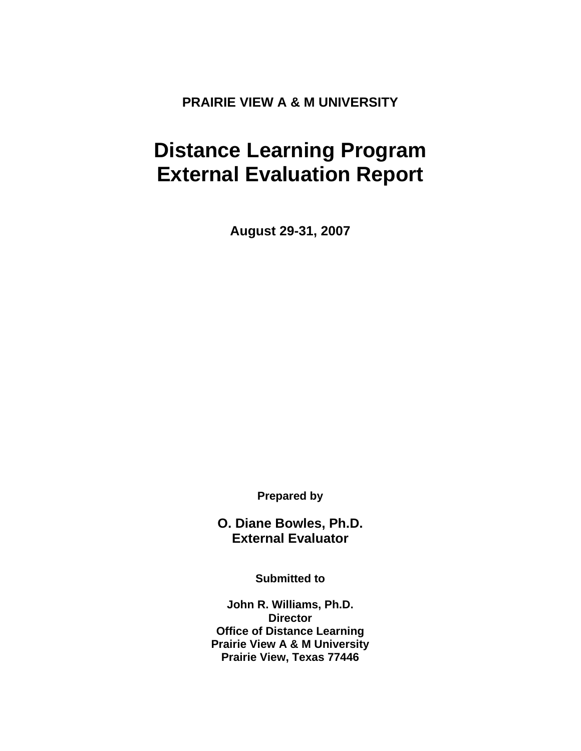**PRAIRIE VIEW A & M UNIVERSITY** 

# **Distance Learning Program External Evaluation Report**

**August 29-31, 2007** 

**Prepared by** 

**O. Diane Bowles, Ph.D. External Evaluator** 

**Submitted to** 

**John R. Williams, Ph.D. Director Office of Distance Learning Prairie View A & M University Prairie View, Texas 77446**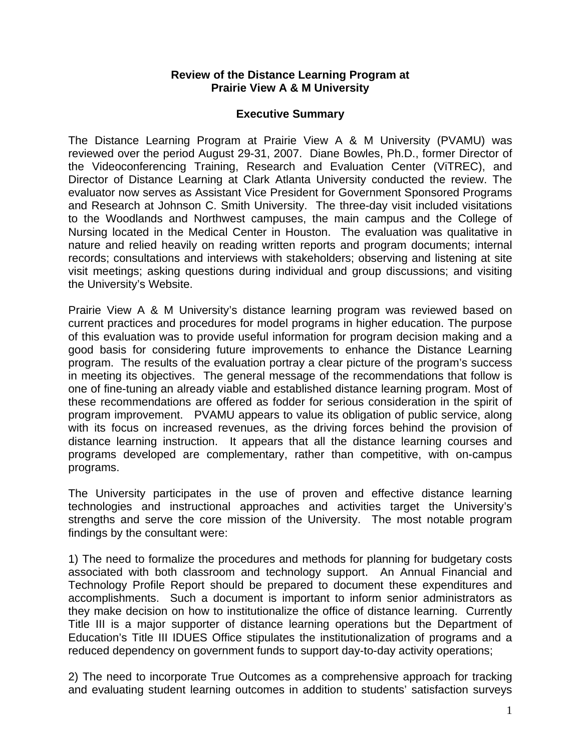#### **Review of the Distance Learning Program at Prairie View A & M University**

#### **Executive Summary**

The Distance Learning Program at Prairie View A & M University (PVAMU) was reviewed over the period August 29-31, 2007. Diane Bowles, Ph.D., former Director of the Videoconferencing Training, Research and Evaluation Center (ViTREC), and Director of Distance Learning at Clark Atlanta University conducted the review. The evaluator now serves as Assistant Vice President for Government Sponsored Programs and Research at Johnson C. Smith University. The three-day visit included visitations to the Woodlands and Northwest campuses, the main campus and the College of Nursing located in the Medical Center in Houston. The evaluation was qualitative in nature and relied heavily on reading written reports and program documents; internal records; consultations and interviews with stakeholders; observing and listening at site visit meetings; asking questions during individual and group discussions; and visiting the University's Website.

Prairie View A & M University's distance learning program was reviewed based on current practices and procedures for model programs in higher education. The purpose of this evaluation was to provide useful information for program decision making and a good basis for considering future improvements to enhance the Distance Learning program. The results of the evaluation portray a clear picture of the program's success in meeting its objectives. The general message of the recommendations that follow is one of fine-tuning an already viable and established distance learning program. Most of these recommendations are offered as fodder for serious consideration in the spirit of program improvement. PVAMU appears to value its obligation of public service, along with its focus on increased revenues, as the driving forces behind the provision of distance learning instruction. It appears that all the distance learning courses and programs developed are complementary, rather than competitive, with on-campus programs.

The University participates in the use of proven and effective distance learning technologies and instructional approaches and activities target the University's strengths and serve the core mission of the University. The most notable program findings by the consultant were:

1) The need to formalize the procedures and methods for planning for budgetary costs associated with both classroom and technology support. An Annual Financial and Technology Profile Report should be prepared to document these expenditures and accomplishments. Such a document is important to inform senior administrators as they make decision on how to institutionalize the office of distance learning. Currently Title III is a major supporter of distance learning operations but the Department of Education's Title III IDUES Office stipulates the institutionalization of programs and a reduced dependency on government funds to support day-to-day activity operations;

2) The need to incorporate True Outcomes as a comprehensive approach for tracking and evaluating student learning outcomes in addition to students' satisfaction surveys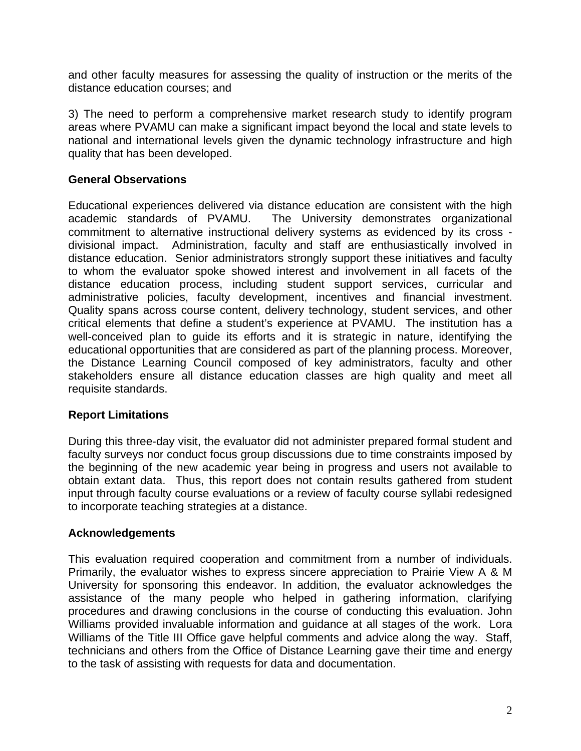and other faculty measures for assessing the quality of instruction or the merits of the distance education courses; and

3) The need to perform a comprehensive market research study to identify program areas where PVAMU can make a significant impact beyond the local and state levels to national and international levels given the dynamic technology infrastructure and high quality that has been developed.

### **General Observations**

Educational experiences delivered via distance education are consistent with the high academic standards of PVAMU. The University demonstrates organizational commitment to alternative instructional delivery systems as evidenced by its cross divisional impact. Administration, faculty and staff are enthusiastically involved in distance education. Senior administrators strongly support these initiatives and faculty to whom the evaluator spoke showed interest and involvement in all facets of the distance education process, including student support services, curricular and administrative policies, faculty development, incentives and financial investment. Quality spans across course content, delivery technology, student services, and other critical elements that define a student's experience at PVAMU. The institution has a well-conceived plan to guide its efforts and it is strategic in nature, identifying the educational opportunities that are considered as part of the planning process. Moreover, the Distance Learning Council composed of key administrators, faculty and other stakeholders ensure all distance education classes are high quality and meet all requisite standards.

#### **Report Limitations**

During this three-day visit, the evaluator did not administer prepared formal student and faculty surveys nor conduct focus group discussions due to time constraints imposed by the beginning of the new academic year being in progress and users not available to obtain extant data. Thus, this report does not contain results gathered from student input through faculty course evaluations or a review of faculty course syllabi redesigned to incorporate teaching strategies at a distance.

#### **Acknowledgements**

This evaluation required cooperation and commitment from a number of individuals. Primarily, the evaluator wishes to express sincere appreciation to Prairie View A & M University for sponsoring this endeavor. In addition, the evaluator acknowledges the assistance of the many people who helped in gathering information, clarifying procedures and drawing conclusions in the course of conducting this evaluation. John Williams provided invaluable information and guidance at all stages of the work. Lora Williams of the Title III Office gave helpful comments and advice along the way. Staff, technicians and others from the Office of Distance Learning gave their time and energy to the task of assisting with requests for data and documentation.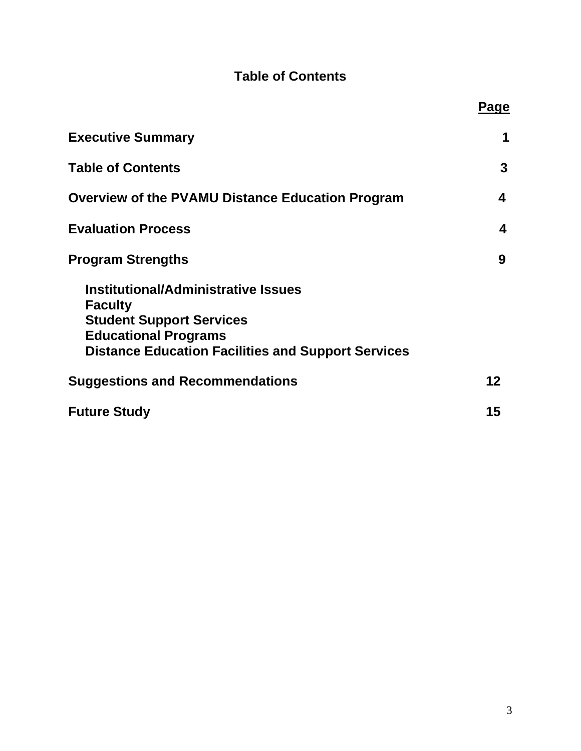# **Table of Contents**

|                                                                                                                                                                                             | Page |
|---------------------------------------------------------------------------------------------------------------------------------------------------------------------------------------------|------|
| <b>Executive Summary</b>                                                                                                                                                                    | 1    |
| <b>Table of Contents</b>                                                                                                                                                                    | 3    |
| <b>Overview of the PVAMU Distance Education Program</b>                                                                                                                                     | 4    |
| <b>Evaluation Process</b>                                                                                                                                                                   | 4    |
| <b>Program Strengths</b>                                                                                                                                                                    | 9    |
| <b>Institutional/Administrative Issues</b><br><b>Faculty</b><br><b>Student Support Services</b><br><b>Educational Programs</b><br><b>Distance Education Facilities and Support Services</b> |      |
| <b>Suggestions and Recommendations</b>                                                                                                                                                      | 12   |
| <b>Future Study</b>                                                                                                                                                                         | 15   |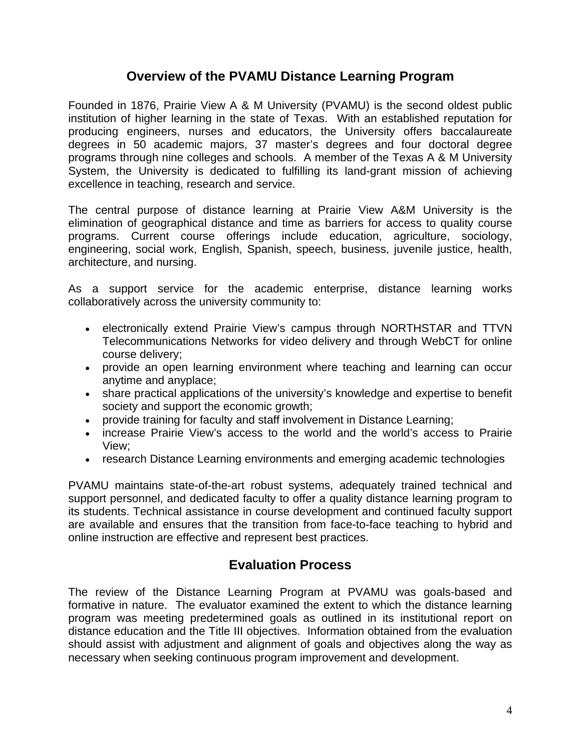### **Overview of the PVAMU Distance Learning Program**

Founded in 1876, Prairie View A & M University (PVAMU) is the second oldest public institution of higher learning in the state of Texas. With an established reputation for producing engineers, nurses and educators, the University offers baccalaureate degrees in 50 academic majors, 37 master's degrees and four doctoral degree programs through nine colleges and schools. A member of the Texas A & M University System, the University is dedicated to fulfilling its land-grant mission of achieving excellence in teaching, research and service.

The central purpose of distance learning at Prairie View A&M University is the elimination of geographical distance and time as barriers for access to quality course programs. Current course offerings include education, agriculture, sociology, engineering, social work, English, Spanish, speech, business, juvenile justice, health, architecture, and nursing.

As a support service for the academic enterprise, distance learning works collaboratively across the university community to:

- electronically extend Prairie View's campus through NORTHSTAR and TTVN Telecommunications Networks for video delivery and through WebCT for online course delivery;
- provide an open learning environment where teaching and learning can occur anytime and anyplace;
- share practical applications of the university's knowledge and expertise to benefit society and support the economic growth;
- provide training for faculty and staff involvement in Distance Learning;
- increase Prairie View's access to the world and the world's access to Prairie View;
- research Distance Learning environments and emerging academic technologies

PVAMU maintains state-of-the-art robust systems, adequately trained technical and support personnel, and dedicated faculty to offer a quality distance learning program to its students. Technical assistance in course development and continued faculty support are available and ensures that the transition from face-to-face teaching to hybrid and online instruction are effective and represent best practices.

# **Evaluation Process**

The review of the Distance Learning Program at PVAMU was goals-based and formative in nature. The evaluator examined the extent to which the distance learning program was meeting predetermined goals as outlined in its institutional report on distance education and the Title III objectives. Information obtained from the evaluation should assist with adjustment and alignment of goals and objectives along the way as necessary when seeking continuous program improvement and development.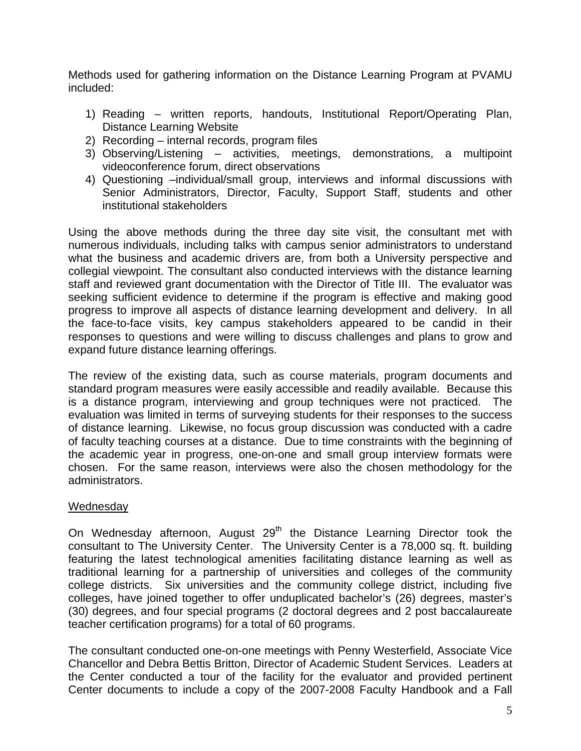Methods used for gathering information on the Distance Learning Program at PVAMU included:

- 1) Reading written reports, handouts, Institutional Report/Operating Plan, Distance Learning Website
- 2) Recording internal records, program files
- 3) Observing/Listening activities, meetings, demonstrations, a multipoint videoconference forum, direct observations
- 4) Questioning –individual/small group, interviews and informal discussions with Senior Administrators, Director, Faculty, Support Staff, students and other institutional stakeholders

Using the above methods during the three day site visit, the consultant met with numerous individuals, including talks with campus senior administrators to understand what the business and academic drivers are, from both a University perspective and collegial viewpoint. The consultant also conducted interviews with the distance learning staff and reviewed grant documentation with the Director of Title III. The evaluator was seeking sufficient evidence to determine if the program is effective and making good progress to improve all aspects of distance learning development and delivery. In all the face-to-face visits, key campus stakeholders appeared to be candid in their responses to questions and were willing to discuss challenges and plans to grow and expand future distance learning offerings.

The review of the existing data, such as course materials, program documents and standard program measures were easily accessible and readily available. Because this is a distance program, interviewing and group techniques were not practiced. The evaluation was limited in terms of surveying students for their responses to the success of distance learning. Likewise, no focus group discussion was conducted with a cadre of faculty teaching courses at a distance. Due to time constraints with the beginning of the academic year in progress, one-on-one and small group interview formats were chosen. For the same reason, interviews were also the chosen methodology for the administrators.

#### Wednesday

On Wednesday afternoon, August 29<sup>th</sup> the Distance Learning Director took the consultant to The University Center. The University Center is a 78,000 sq. ft. building featuring the latest technological amenities facilitating distance learning as well as traditional learning for a partnership of universities and colleges of the community college districts. Six universities and the community college district, including five colleges, have joined together to offer unduplicated bachelor's (26) degrees, master's (30) degrees, and four special programs (2 doctoral degrees and 2 post baccalaureate teacher certification programs) for a total of 60 programs.

The consultant conducted one-on-one meetings with Penny Westerfield, Associate Vice Chancellor and Debra Bettis Britton, Director of Academic Student Services. Leaders at the Center conducted a tour of the facility for the evaluator and provided pertinent Center documents to include a copy of the 2007-2008 Faculty Handbook and a Fall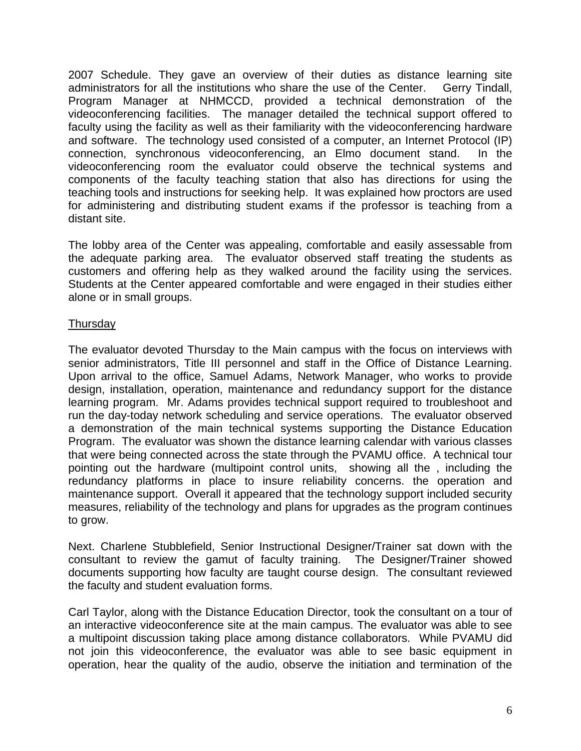2007 Schedule. They gave an overview of their duties as distance learning site administrators for all the institutions who share the use of the Center. Gerry Tindall, Program Manager at NHMCCD, provided a technical demonstration of the videoconferencing facilities. The manager detailed the technical support offered to faculty using the facility as well as their familiarity with the videoconferencing hardware and software. The technology used consisted of a computer, an Internet Protocol (IP) connection, synchronous videoconferencing, an Elmo document stand. In the videoconferencing room the evaluator could observe the technical systems and components of the faculty teaching station that also has directions for using the teaching tools and instructions for seeking help. It was explained how proctors are used for administering and distributing student exams if the professor is teaching from a distant site.

The lobby area of the Center was appealing, comfortable and easily assessable from the adequate parking area. The evaluator observed staff treating the students as customers and offering help as they walked around the facility using the services. Students at the Center appeared comfortable and were engaged in their studies either alone or in small groups.

### **Thursday**

The evaluator devoted Thursday to the Main campus with the focus on interviews with senior administrators, Title III personnel and staff in the Office of Distance Learning. Upon arrival to the office, Samuel Adams, Network Manager, who works to provide design, installation, operation, maintenance and redundancy support for the distance learning program. Mr. Adams provides technical support required to troubleshoot and run the day-today network scheduling and service operations. The evaluator observed a demonstration of the main technical systems supporting the Distance Education Program. The evaluator was shown the distance learning calendar with various classes that were being connected across the state through the PVAMU office. A technical tour pointing out the hardware (multipoint control units, showing all the , including the redundancy platforms in place to insure reliability concerns. the operation and maintenance support. Overall it appeared that the technology support included security measures, reliability of the technology and plans for upgrades as the program continues to grow.

Next. Charlene Stubblefield, Senior Instructional Designer/Trainer sat down with the consultant to review the gamut of faculty training. The Designer/Trainer showed documents supporting how faculty are taught course design. The consultant reviewed the faculty and student evaluation forms.

Carl Taylor, along with the Distance Education Director, took the consultant on a tour of an interactive videoconference site at the main campus. The evaluator was able to see a multipoint discussion taking place among distance collaborators. While PVAMU did not join this videoconference, the evaluator was able to see basic equipment in operation, hear the quality of the audio, observe the initiation and termination of the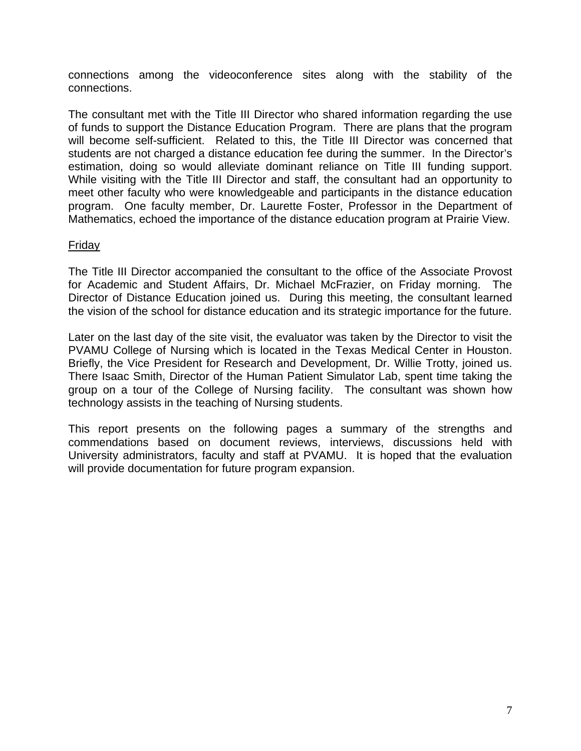connections among the videoconference sites along with the stability of the connections.

The consultant met with the Title III Director who shared information regarding the use of funds to support the Distance Education Program. There are plans that the program will become self-sufficient. Related to this, the Title III Director was concerned that students are not charged a distance education fee during the summer. In the Director's estimation, doing so would alleviate dominant reliance on Title III funding support. While visiting with the Title III Director and staff, the consultant had an opportunity to meet other faculty who were knowledgeable and participants in the distance education program. One faculty member, Dr. Laurette Foster, Professor in the Department of Mathematics, echoed the importance of the distance education program at Prairie View.

#### Friday

The Title III Director accompanied the consultant to the office of the Associate Provost for Academic and Student Affairs, Dr. Michael McFrazier, on Friday morning. The Director of Distance Education joined us. During this meeting, the consultant learned the vision of the school for distance education and its strategic importance for the future.

Later on the last day of the site visit, the evaluator was taken by the Director to visit the PVAMU College of Nursing which is located in the Texas Medical Center in Houston. Briefly, the Vice President for Research and Development, Dr. Willie Trotty, joined us. There Isaac Smith, Director of the Human Patient Simulator Lab, spent time taking the group on a tour of the College of Nursing facility. The consultant was shown how technology assists in the teaching of Nursing students.

This report presents on the following pages a summary of the strengths and commendations based on document reviews, interviews, discussions held with University administrators, faculty and staff at PVAMU. It is hoped that the evaluation will provide documentation for future program expansion.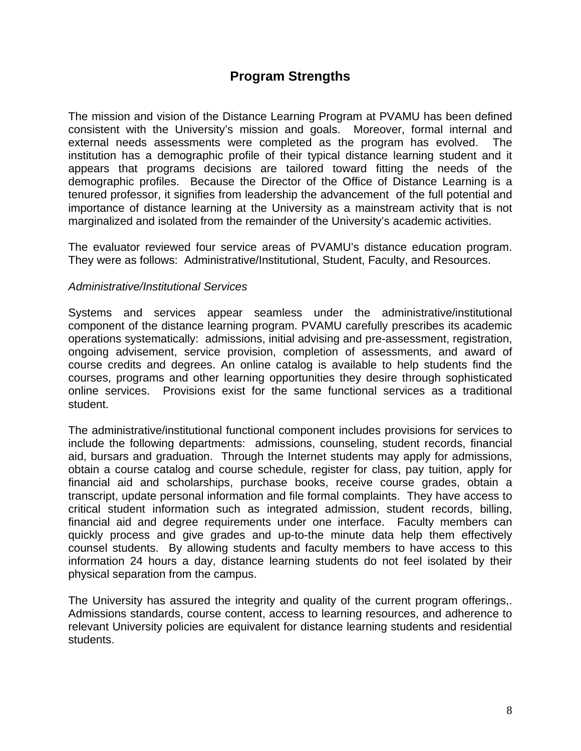# **Program Strengths**

The mission and vision of the Distance Learning Program at PVAMU has been defined consistent with the University's mission and goals. Moreover, formal internal and external needs assessments were completed as the program has evolved. The institution has a demographic profile of their typical distance learning student and it appears that programs decisions are tailored toward fitting the needs of the demographic profiles. Because the Director of the Office of Distance Learning is a tenured professor, it signifies from leadership the advancement of the full potential and importance of distance learning at the University as a mainstream activity that is not marginalized and isolated from the remainder of the University's academic activities.

The evaluator reviewed four service areas of PVAMU's distance education program. They were as follows: Administrative/Institutional, Student, Faculty, and Resources.

#### *Administrative/Institutional Services*

Systems and services appear seamless under the administrative/institutional component of the distance learning program. PVAMU carefully prescribes its academic operations systematically: admissions, initial advising and pre-assessment, registration, ongoing advisement, service provision, completion of assessments, and award of course credits and degrees. An online catalog is available to help students find the courses, programs and other learning opportunities they desire through sophisticated online services. Provisions exist for the same functional services as a traditional student.

The administrative/institutional functional component includes provisions for services to include the following departments: admissions, counseling, student records, financial aid, bursars and graduation. Through the Internet students may apply for admissions, obtain a course catalog and course schedule, register for class, pay tuition, apply for financial aid and scholarships, purchase books, receive course grades, obtain a transcript, update personal information and file formal complaints. They have access to critical student information such as integrated admission, student records, billing, financial aid and degree requirements under one interface. Faculty members can quickly process and give grades and up-to-the minute data help them effectively counsel students. By allowing students and faculty members to have access to this information 24 hours a day, distance learning students do not feel isolated by their physical separation from the campus.

The University has assured the integrity and quality of the current program offerings,. Admissions standards, course content, access to learning resources, and adherence to relevant University policies are equivalent for distance learning students and residential students.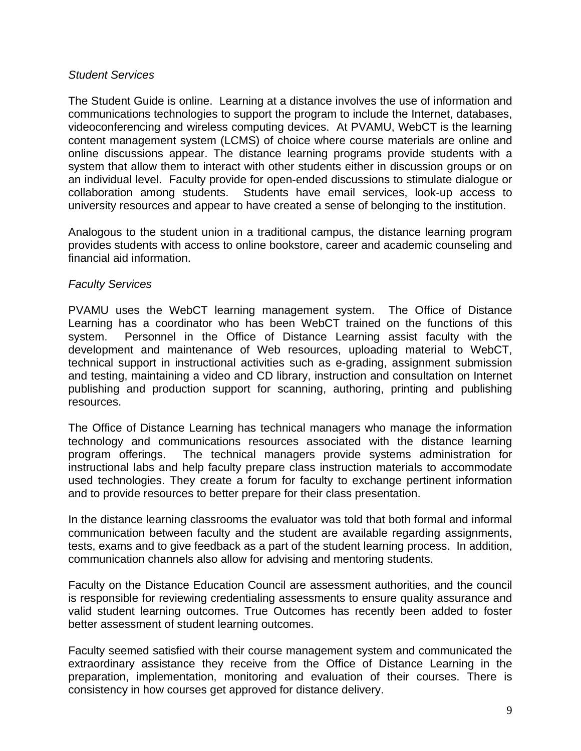#### *Student Services*

The Student Guide is online. Learning at a distance involves the use of information and communications technologies to support the program to include the Internet, databases, videoconferencing and wireless computing devices. At PVAMU, WebCT is the learning content management system (LCMS) of choice where course materials are online and online discussions appear. The distance learning programs provide students with a system that allow them to interact with other students either in discussion groups or on an individual level. Faculty provide for open-ended discussions to stimulate dialogue or collaboration among students. Students have email services, look-up access to university resources and appear to have created a sense of belonging to the institution.

Analogous to the student union in a traditional campus, the distance learning program provides students with access to online bookstore, career and academic counseling and financial aid information.

#### *Faculty Services*

PVAMU uses the WebCT learning management system. The Office of Distance Learning has a coordinator who has been WebCT trained on the functions of this system. Personnel in the Office of Distance Learning assist faculty with the development and maintenance of Web resources, uploading material to WebCT, technical support in instructional activities such as e-grading, assignment submission and testing, maintaining a video and CD library, instruction and consultation on Internet publishing and production support for scanning, authoring, printing and publishing resources.

The Office of Distance Learning has technical managers who manage the information technology and communications resources associated with the distance learning program offerings. The technical managers provide systems administration for instructional labs and help faculty prepare class instruction materials to accommodate used technologies. They create a forum for faculty to exchange pertinent information and to provide resources to better prepare for their class presentation.

In the distance learning classrooms the evaluator was told that both formal and informal communication between faculty and the student are available regarding assignments, tests, exams and to give feedback as a part of the student learning process. In addition, communication channels also allow for advising and mentoring students.

Faculty on the Distance Education Council are assessment authorities, and the council is responsible for reviewing credentialing assessments to ensure quality assurance and valid student learning outcomes. True Outcomes has recently been added to foster better assessment of student learning outcomes.

Faculty seemed satisfied with their course management system and communicated the extraordinary assistance they receive from the Office of Distance Learning in the preparation, implementation, monitoring and evaluation of their courses. There is consistency in how courses get approved for distance delivery.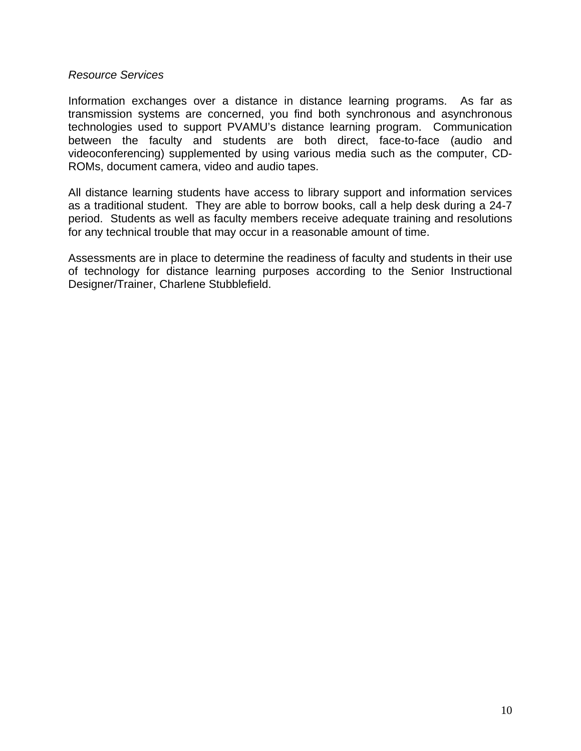#### *Resource Services*

Information exchanges over a distance in distance learning programs. As far as transmission systems are concerned, you find both synchronous and asynchronous technologies used to support PVAMU's distance learning program. Communication between the faculty and students are both direct, face-to-face (audio and videoconferencing) supplemented by using various media such as the computer, CD-ROMs, document camera, video and audio tapes.

All distance learning students have access to library support and information services as a traditional student. They are able to borrow books, call a help desk during a 24-7 period. Students as well as faculty members receive adequate training and resolutions for any technical trouble that may occur in a reasonable amount of time.

Assessments are in place to determine the readiness of faculty and students in their use of technology for distance learning purposes according to the Senior Instructional Designer/Trainer, Charlene Stubblefield.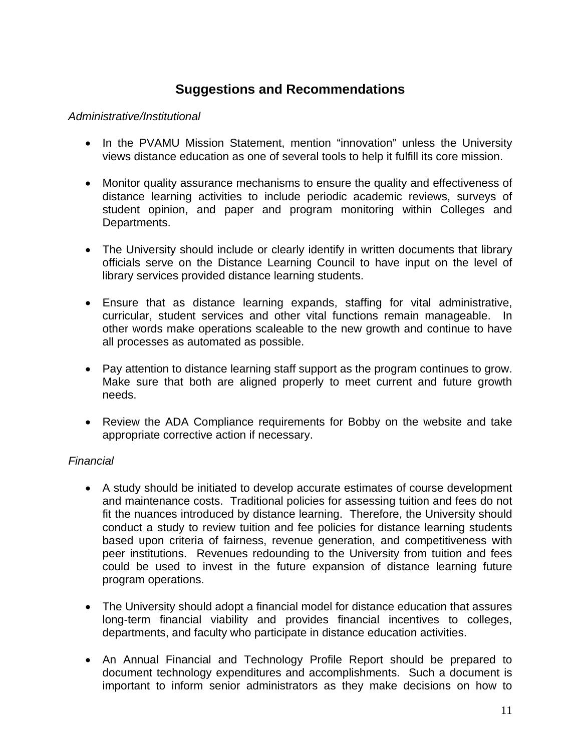# **Suggestions and Recommendations**

#### *Administrative/Institutional*

- In the PVAMU Mission Statement, mention "innovation" unless the University views distance education as one of several tools to help it fulfill its core mission.
- Monitor quality assurance mechanisms to ensure the quality and effectiveness of distance learning activities to include periodic academic reviews, surveys of student opinion, and paper and program monitoring within Colleges and Departments.
- The University should include or clearly identify in written documents that library officials serve on the Distance Learning Council to have input on the level of library services provided distance learning students.
- Ensure that as distance learning expands, staffing for vital administrative, curricular, student services and other vital functions remain manageable. In other words make operations scaleable to the new growth and continue to have all processes as automated as possible.
- Pay attention to distance learning staff support as the program continues to grow. Make sure that both are aligned properly to meet current and future growth needs.
- Review the ADA Compliance requirements for Bobby on the website and take appropriate corrective action if necessary.

### *Financial*

- A study should be initiated to develop accurate estimates of course development and maintenance costs. Traditional policies for assessing tuition and fees do not fit the nuances introduced by distance learning. Therefore, the University should conduct a study to review tuition and fee policies for distance learning students based upon criteria of fairness, revenue generation, and competitiveness with peer institutions. Revenues redounding to the University from tuition and fees could be used to invest in the future expansion of distance learning future program operations.
- The University should adopt a financial model for distance education that assures long-term financial viability and provides financial incentives to colleges, departments, and faculty who participate in distance education activities.
- An Annual Financial and Technology Profile Report should be prepared to document technology expenditures and accomplishments. Such a document is important to inform senior administrators as they make decisions on how to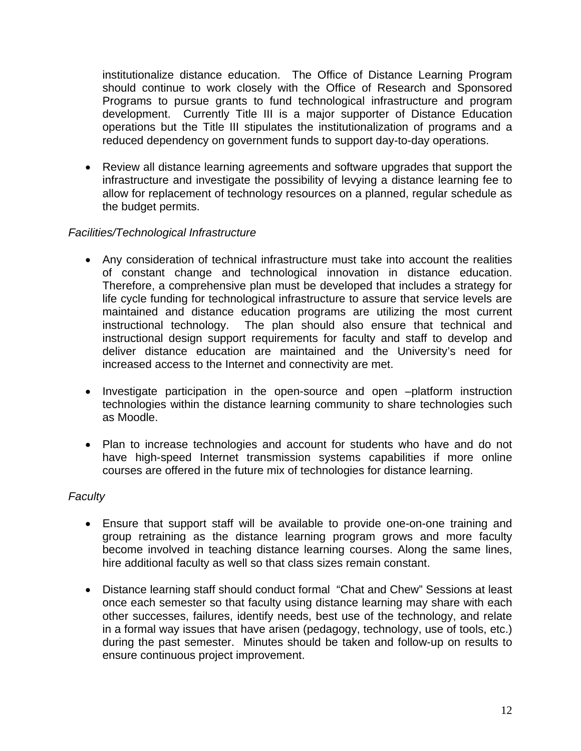institutionalize distance education. The Office of Distance Learning Program should continue to work closely with the Office of Research and Sponsored Programs to pursue grants to fund technological infrastructure and program development. Currently Title III is a major supporter of Distance Education operations but the Title III stipulates the institutionalization of programs and a reduced dependency on government funds to support day-to-day operations.

• Review all distance learning agreements and software upgrades that support the infrastructure and investigate the possibility of levying a distance learning fee to allow for replacement of technology resources on a planned, regular schedule as the budget permits.

### *Facilities/Technological Infrastructure*

- Any consideration of technical infrastructure must take into account the realities of constant change and technological innovation in distance education. Therefore, a comprehensive plan must be developed that includes a strategy for life cycle funding for technological infrastructure to assure that service levels are maintained and distance education programs are utilizing the most current instructional technology. The plan should also ensure that technical and instructional design support requirements for faculty and staff to develop and deliver distance education are maintained and the University's need for increased access to the Internet and connectivity are met.
- Investigate participation in the open-source and open –platform instruction technologies within the distance learning community to share technologies such as Moodle.
- Plan to increase technologies and account for students who have and do not have high-speed Internet transmission systems capabilities if more online courses are offered in the future mix of technologies for distance learning.

#### *Faculty*

- Ensure that support staff will be available to provide one-on-one training and group retraining as the distance learning program grows and more faculty become involved in teaching distance learning courses. Along the same lines, hire additional faculty as well so that class sizes remain constant.
- Distance learning staff should conduct formal "Chat and Chew" Sessions at least once each semester so that faculty using distance learning may share with each other successes, failures, identify needs, best use of the technology, and relate in a formal way issues that have arisen (pedagogy, technology, use of tools, etc.) during the past semester. Minutes should be taken and follow-up on results to ensure continuous project improvement.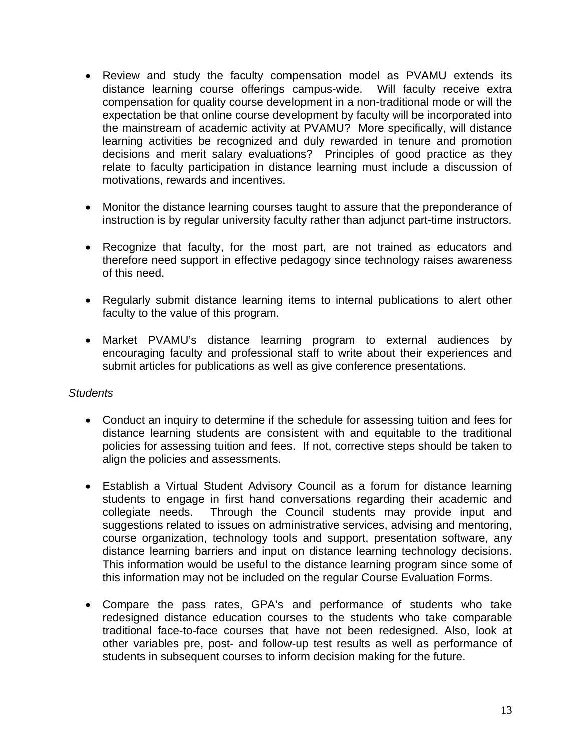- Review and study the faculty compensation model as PVAMU extends its distance learning course offerings campus-wide. Will faculty receive extra compensation for quality course development in a non-traditional mode or will the expectation be that online course development by faculty will be incorporated into the mainstream of academic activity at PVAMU? More specifically, will distance learning activities be recognized and duly rewarded in tenure and promotion decisions and merit salary evaluations? Principles of good practice as they relate to faculty participation in distance learning must include a discussion of motivations, rewards and incentives.
- Monitor the distance learning courses taught to assure that the preponderance of instruction is by regular university faculty rather than adjunct part-time instructors.
- Recognize that faculty, for the most part, are not trained as educators and therefore need support in effective pedagogy since technology raises awareness of this need.
- Regularly submit distance learning items to internal publications to alert other faculty to the value of this program.
- Market PVAMU's distance learning program to external audiences by encouraging faculty and professional staff to write about their experiences and submit articles for publications as well as give conference presentations.

#### *Students*

- Conduct an inquiry to determine if the schedule for assessing tuition and fees for distance learning students are consistent with and equitable to the traditional policies for assessing tuition and fees. If not, corrective steps should be taken to align the policies and assessments.
- Establish a Virtual Student Advisory Council as a forum for distance learning students to engage in first hand conversations regarding their academic and collegiate needs. Through the Council students may provide input and suggestions related to issues on administrative services, advising and mentoring, course organization, technology tools and support, presentation software, any distance learning barriers and input on distance learning technology decisions. This information would be useful to the distance learning program since some of this information may not be included on the regular Course Evaluation Forms.
- Compare the pass rates, GPA's and performance of students who take redesigned distance education courses to the students who take comparable traditional face-to-face courses that have not been redesigned. Also, look at other variables pre, post- and follow-up test results as well as performance of students in subsequent courses to inform decision making for the future.